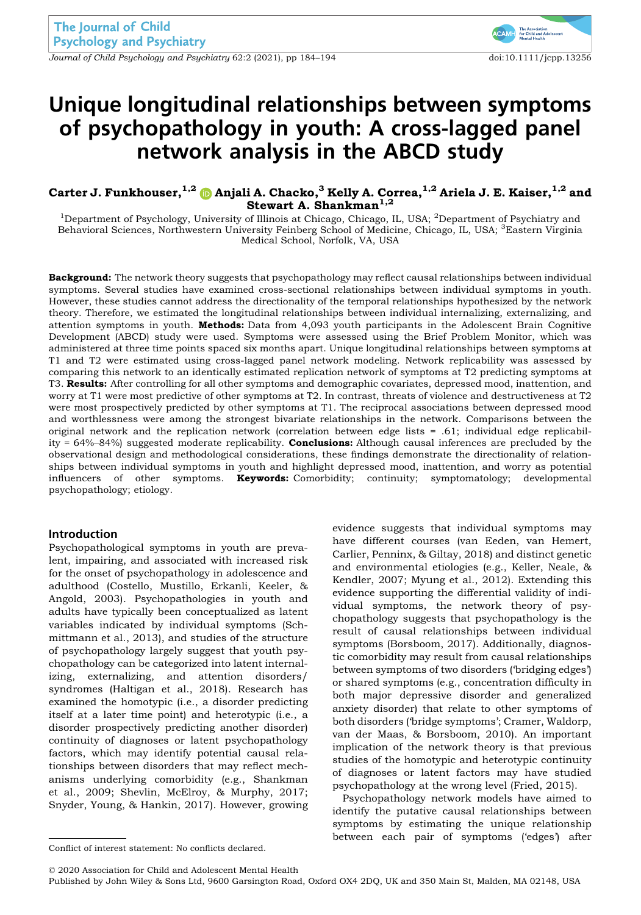Journal of Child Psychology and Psychiatry 62:2 (2021), pp 184–194 doi:10.1111/jcpp.13256



# Unique longitudinal relationships between symptoms of psychopathology in youth: A cross-lagged panel network analysis in the ABCD study

# Carter J. Funkhouser,  $^{1,2}$   $\bullet$  Anjali A. Chacko,  $^3$  Kelly A. Correa,  $^{1,2}$  Ariela J. E. Kaiser,  $^{1,2}$  and Stewart A. Shankman $^{1,2}$

<sup>1</sup>Department of Psychology, University of Illinois at Chicago, Chicago, IL, USA; <sup>2</sup>Department of Psychiatry and Behavioral Sciences, Northwestern University Feinberg School of Medicine, Chicago, IL, USA; <sup>3</sup>Eastern Virginia Medical School, Norfolk, VA, USA

Background: The network theory suggests that psychopathology may reflect causal relationships between individual symptoms. Several studies have examined cross-sectional relationships between individual symptoms in youth. However, these studies cannot address the directionality of the temporal relationships hypothesized by the network theory. Therefore, we estimated the longitudinal relationships between individual internalizing, externalizing, and attention symptoms in youth. Methods: Data from 4,093 youth participants in the Adolescent Brain Cognitive Development (ABCD) study were used. Symptoms were assessed using the Brief Problem Monitor, which was administered at three time points spaced six months apart. Unique longitudinal relationships between symptoms at T1 and T2 were estimated using cross-lagged panel network modeling. Network replicability was assessed by comparing this network to an identically estimated replication network of symptoms at T2 predicting symptoms at T3. Results: After controlling for all other symptoms and demographic covariates, depressed mood, inattention, and worry at T1 were most predictive of other symptoms at T2. In contrast, threats of violence and destructiveness at T2 were most prospectively predicted by other symptoms at T1. The reciprocal associations between depressed mood and worthlessness were among the strongest bivariate relationships in the network. Comparisons between the original network and the replication network (correlation between edge lists = .61; individual edge replicability =  $64\% - 84\%$ ) suggested moderate replicability. **Conclusions:** Although causal inferences are precluded by the observational design and methodological considerations, these findings demonstrate the directionality of relationships between individual symptoms in youth and highlight depressed mood, inattention, and worry as potential influencers of other symptoms. Keywords: Comorbidity; continuity; symptomatology; developmental psychopathology; etiology.

# Introduction

Psychopathological symptoms in youth are prevalent, impairing, and associated with increased risk for the onset of psychopathology in adolescence and adulthood (Costello, Mustillo, Erkanli, Keeler, & Angold, 2003). Psychopathologies in youth and adults have typically been conceptualized as latent variables indicated by individual symptoms (Schmittmann et al., 2013), and studies of the structure of psychopathology largely suggest that youth psychopathology can be categorized into latent internalizing, externalizing, and attention disorders/ syndromes (Haltigan et al., 2018). Research has examined the homotypic (i.e., a disorder predicting itself at a later time point) and heterotypic (i.e., a disorder prospectively predicting another disorder) continuity of diagnoses or latent psychopathology factors, which may identify potential causal relationships between disorders that may reflect mechanisms underlying comorbidity (e.g., Shankman et al., 2009; Shevlin, McElroy, & Murphy, 2017; Snyder, Young, & Hankin, 2017). However, growing

evidence suggests that individual symptoms may have different courses (van Eeden, van Hemert, Carlier, Penninx, & Giltay, 2018) and distinct genetic and environmental etiologies (e.g., Keller, Neale, & Kendler, 2007; Myung et al., 2012). Extending this evidence supporting the differential validity of individual symptoms, the network theory of psychopathology suggests that psychopathology is the result of causal relationships between individual symptoms (Borsboom, 2017). Additionally, diagnostic comorbidity may result from causal relationships between symptoms of two disorders ('bridging edges') or shared symptoms (e.g., concentration difficulty in both major depressive disorder and generalized anxiety disorder) that relate to other symptoms of both disorders ('bridge symptoms'; Cramer, Waldorp, van der Maas, & Borsboom, 2010). An important implication of the network theory is that previous studies of the homotypic and heterotypic continuity of diagnoses or latent factors may have studied psychopathology at the wrong level (Fried, 2015).

Psychopathology network models have aimed to identify the putative causal relationships between symptoms by estimating the unique relationship between each pair of symptoms ('edges') after

© 2020 Association for Child and Adolescent Mental Health

Conflict of interest statement: No conflicts declared.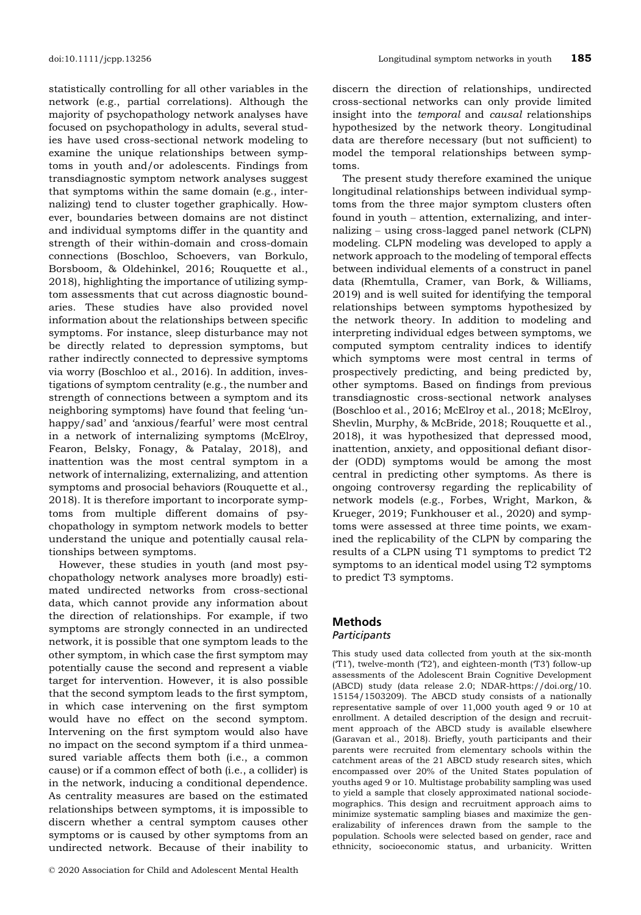statistically controlling for all other variables in the network (e.g., partial correlations). Although the majority of psychopathology network analyses have focused on psychopathology in adults, several studies have used cross-sectional network modeling to examine the unique relationships between symptoms in youth and/or adolescents. Findings from transdiagnostic symptom network analyses suggest that symptoms within the same domain (e.g., internalizing) tend to cluster together graphically. However, boundaries between domains are not distinct and individual symptoms differ in the quantity and strength of their within-domain and cross-domain connections (Boschloo, Schoevers, van Borkulo, Borsboom, & Oldehinkel, 2016; Rouquette et al., 2018), highlighting the importance of utilizing symptom assessments that cut across diagnostic boundaries. These studies have also provided novel information about the relationships between specific symptoms. For instance, sleep disturbance may not be directly related to depression symptoms, but rather indirectly connected to depressive symptoms via worry (Boschloo et al., 2016). In addition, investigations of symptom centrality (e.g., the number and strength of connections between a symptom and its neighboring symptoms) have found that feeling 'unhappy/sad' and 'anxious/fearful' were most central in a network of internalizing symptoms (McElroy, Fearon, Belsky, Fonagy, & Patalay, 2018), and inattention was the most central symptom in a network of internalizing, externalizing, and attention symptoms and prosocial behaviors (Rouquette et al., 2018). It is therefore important to incorporate symptoms from multiple different domains of psychopathology in symptom network models to better understand the unique and potentially causal relationships between symptoms.

However, these studies in youth (and most psychopathology network analyses more broadly) estimated undirected networks from cross-sectional data, which cannot provide any information about the direction of relationships. For example, if two symptoms are strongly connected in an undirected network, it is possible that one symptom leads to the other symptom, in which case the first symptom may potentially cause the second and represent a viable target for intervention. However, it is also possible that the second symptom leads to the first symptom, in which case intervening on the first symptom would have no effect on the second symptom. Intervening on the first symptom would also have no impact on the second symptom if a third unmeasured variable affects them both (i.e., a common cause) or if a common effect of both (i.e., a collider) is in the network, inducing a conditional dependence. As centrality measures are based on the estimated relationships between symptoms, it is impossible to discern whether a central symptom causes other symptoms or is caused by other symptoms from an undirected network. Because of their inability to discern the direction of relationships, undirected cross-sectional networks can only provide limited insight into the temporal and causal relationships hypothesized by the network theory. Longitudinal data are therefore necessary (but not sufficient) to model the temporal relationships between symptoms.

The present study therefore examined the unique longitudinal relationships between individual symptoms from the three major symptom clusters often found in youth – attention, externalizing, and internalizing – using cross-lagged panel network (CLPN) modeling. CLPN modeling was developed to apply a network approach to the modeling of temporal effects between individual elements of a construct in panel data (Rhemtulla, Cramer, van Bork, & Williams, 2019) and is well suited for identifying the temporal relationships between symptoms hypothesized by the network theory. In addition to modeling and interpreting individual edges between symptoms, we computed symptom centrality indices to identify which symptoms were most central in terms of prospectively predicting, and being predicted by, other symptoms. Based on findings from previous transdiagnostic cross-sectional network analyses (Boschloo et al., 2016; McElroy et al., 2018; McElroy, Shevlin, Murphy, & McBride, 2018; Rouquette et al., 2018), it was hypothesized that depressed mood, inattention, anxiety, and oppositional defiant disorder (ODD) symptoms would be among the most central in predicting other symptoms. As there is ongoing controversy regarding the replicability of network models (e.g., Forbes, Wright, Markon, & Krueger, 2019; Funkhouser et al., 2020) and symptoms were assessed at three time points, we examined the replicability of the CLPN by comparing the results of a CLPN using T1 symptoms to predict T2 symptoms to an identical model using T2 symptoms to predict T3 symptoms.

# Methods

# **Participants**

This study used data collected from youth at the six-month ('T1'), twelve-month ('T2'), and eighteen-month ('T3') follow-up assessments of the Adolescent Brain Cognitive Development (ABCD) study (data release 2.0; NDAR[-https://doi.org/10.](https://doi.org/10.15154/1503209) [15154/1503209](https://doi.org/10.15154/1503209)). The ABCD study consists of a nationally representative sample of over 11,000 youth aged 9 or 10 at enrollment. A detailed description of the design and recruitment approach of the ABCD study is available elsewhere (Garavan et al., 2018). Briefly, youth participants and their parents were recruited from elementary schools within the catchment areas of the 21 ABCD study research sites, which encompassed over 20% of the United States population of youths aged 9 or 10. Multistage probability sampling was used to yield a sample that closely approximated national sociodemographics. This design and recruitment approach aims to minimize systematic sampling biases and maximize the generalizability of inferences drawn from the sample to the population. Schools were selected based on gender, race and ethnicity, socioeconomic status, and urbanicity. Written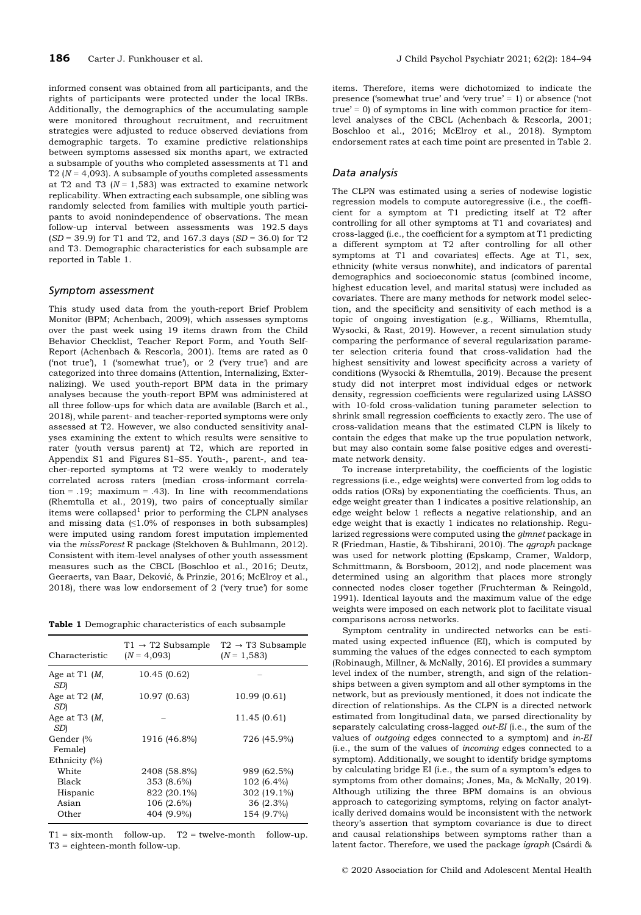informed consent was obtained from all participants, and the rights of participants were protected under the local IRBs. Additionally, the demographics of the accumulating sample were monitored throughout recruitment, and recruitment strategies were adjusted to reduce observed deviations from demographic targets. To examine predictive relationships between symptoms assessed six months apart, we extracted a subsample of youths who completed assessments at T1 and T2 ( $N = 4,093$ ). A subsample of youths completed assessments at T2 and T3 ( $N = 1,583$ ) was extracted to examine network replicability. When extracting each subsample, one sibling was randomly selected from families with multiple youth participants to avoid nonindependence of observations. The mean follow-up interval between assessments was 192.5 days  $(SD = 39.9)$  for T1 and T2, and 167.3 days  $(SD = 36.0)$  for T2 and T3. Demographic characteristics for each subsample are reported in Table 1.

#### Symptom assessment

This study used data from the youth-report Brief Problem Monitor (BPM; Achenbach, 2009), which assesses symptoms over the past week using 19 items drawn from the Child Behavior Checklist, Teacher Report Form, and Youth Self-Report (Achenbach & Rescorla, 2001). Items are rated as 0 ('not true'), 1 ('somewhat true'), or 2 ('very true') and are categorized into three domains (Attention, Internalizing, Externalizing). We used youth-report BPM data in the primary analyses because the youth-report BPM was administered at all three follow-ups for which data are available (Barch et al., 2018), while parent- and teacher-reported symptoms were only assessed at T2. However, we also conducted sensitivity analyses examining the extent to which results were sensitive to rater (youth versus parent) at T2, which are reported in Appendix S1 and Figures S1–S5. Youth-, parent-, and teacher-reported symptoms at T2 were weakly to moderately correlated across raters (median cross-informant correlation = .19; maximum = .43). In line with recommendations (Rhemtulla et al., 2019), two pairs of conceptually similar items were collapsed<sup>1</sup> prior to performing the CLPN analyses and missing data  $(≤1.0%$  of responses in both subsamples) were imputed using random forest imputation implemented via the missForest R package (Stekhoven & Buhlmann, 2012). Consistent with item-level analyses of other youth assessment measures such as the CBCL (Boschloo et al., 2016; Deutz, Geeraerts, van Baar, Dekovic, & Prinzie, 2016; McElroy et al., 2018), there was low endorsement of 2 ('very true') for some

Table 1 Demographic characteristics of each subsample

| $T1 \rightarrow T2$ Subsample<br>$(N = 4,093)$ | $T2 \rightarrow T3$ Subsample<br>$(N = 1,583)$ |
|------------------------------------------------|------------------------------------------------|
| 10.45 (0.62)                                   |                                                |
| 10.97 (0.63)                                   | 10.99(0.61)                                    |
|                                                | 11.45 (0.61)                                   |
| 1916 (46.8%)                                   | 726 (45.9%)                                    |
|                                                |                                                |
| 2408 (58.8%)                                   | 989 (62.5%)                                    |
| 353 (8.6%)                                     | 102 (6.4%)                                     |
| 822 (20.1%)                                    | 302 (19.1%)                                    |
| 106 (2.6%)                                     | 36 (2.3%)                                      |
| 404 (9.9%)                                     | 154 (9.7%)                                     |
|                                                |                                                |

 $T1 = six-month$  follow-up.  $T2 = twelve-month$  follow-up. T3 = eighteen-month follow-up.

items. Therefore, items were dichotomized to indicate the presence ('somewhat true' and 'very true' = 1) or absence ('not  $true' = 0$ ) of symptoms in line with common practice for itemlevel analyses of the CBCL (Achenbach & Rescorla, 2001; Boschloo et al., 2016; McElroy et al., 2018). Symptom endorsement rates at each time point are presented in Table 2.

#### Data analysis

The CLPN was estimated using a series of nodewise logistic regression models to compute autoregressive (i.e., the coefficient for a symptom at T1 predicting itself at T2 after controlling for all other symptoms at T1 and covariates) and cross-lagged (i.e., the coefficient for a symptom at T1 predicting a different symptom at T2 after controlling for all other symptoms at T1 and covariates) effects. Age at T1, sex, ethnicity (white versus nonwhite), and indicators of parental demographics and socioeconomic status (combined income, highest education level, and marital status) were included as covariates. There are many methods for network model selection, and the specificity and sensitivity of each method is a topic of ongoing investigation (e.g., Williams, Rhemtulla, Wysocki, & Rast, 2019). However, a recent simulation study comparing the performance of several regularization parameter selection criteria found that cross-validation had the highest sensitivity and lowest specificity across a variety of conditions (Wysocki & Rhemtulla, 2019). Because the present study did not interpret most individual edges or network density, regression coefficients were regularized using LASSO with 10-fold cross-validation tuning parameter selection to shrink small regression coefficients to exactly zero. The use of cross-validation means that the estimated CLPN is likely to contain the edges that make up the true population network, but may also contain some false positive edges and overestimate network density.

To increase interpretability, the coefficients of the logistic regressions (i.e., edge weights) were converted from log odds to odds ratios (ORs) by exponentiating the coefficients. Thus, an edge weight greater than 1 indicates a positive relationship, an edge weight below 1 reflects a negative relationship, and an edge weight that is exactly 1 indicates no relationship. Regularized regressions were computed using the glmnet package in R (Friedman, Hastie, & Tibshirani, 2010). The qgraph package was used for network plotting (Epskamp, Cramer, Waldorp, Schmittmann, & Borsboom, 2012), and node placement was determined using an algorithm that places more strongly connected nodes closer together (Fruchterman & Reingold, 1991). Identical layouts and the maximum value of the edge weights were imposed on each network plot to facilitate visual comparisons across networks.

Symptom centrality in undirected networks can be estimated using expected influence (EI), which is computed by summing the values of the edges connected to each symptom (Robinaugh, Millner, & McNally, 2016). EI provides a summary level index of the number, strength, and sign of the relationships between a given symptom and all other symptoms in the network, but as previously mentioned, it does not indicate the direction of relationships. As the CLPN is a directed network estimated from longitudinal data, we parsed directionality by separately calculating cross-lagged out-EI (i.e., the sum of the values of outgoing edges connected to a symptom) and in-EI (i.e., the sum of the values of incoming edges connected to a symptom). Additionally, we sought to identify bridge symptoms by calculating bridge EI (i.e., the sum of a symptom's edges to symptoms from other domains; Jones, Ma, & McNally, 2019). Although utilizing the three BPM domains is an obvious approach to categorizing symptoms, relying on factor analytically derived domains would be inconsistent with the network theory's assertion that symptom covariance is due to direct and causal relationships between symptoms rather than a latent factor. Therefore, we used the package igraph (Csárdi &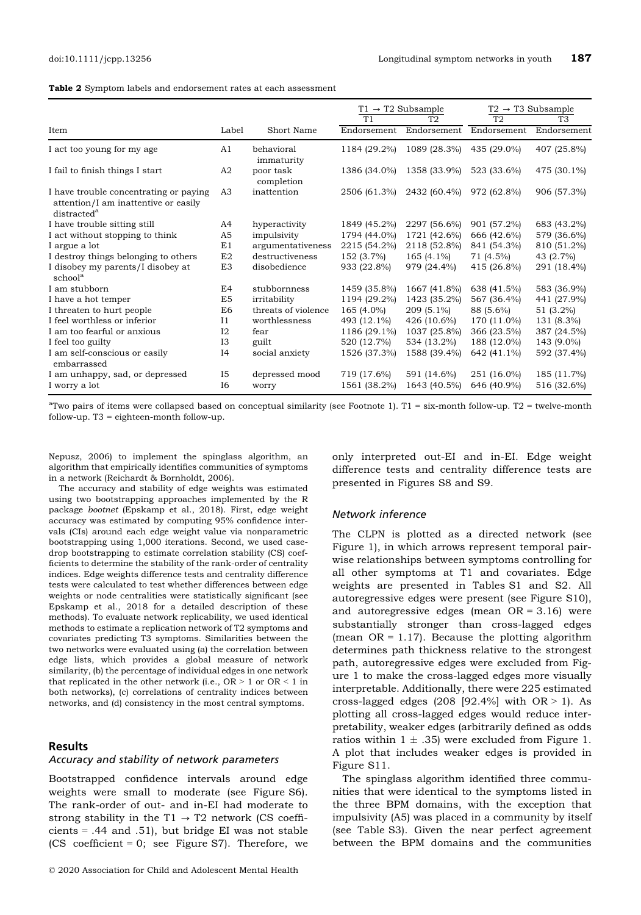#### Table 2 Symptom labels and endorsement rates at each assessment

|                                                                                                           |                |                          | $T1 \rightarrow T2$ Subsample |                | $T2 \rightarrow T3$ Subsample |                |
|-----------------------------------------------------------------------------------------------------------|----------------|--------------------------|-------------------------------|----------------|-------------------------------|----------------|
|                                                                                                           |                |                          | T <sub>1</sub>                | T <sub>2</sub> | T <sub>2</sub>                | T <sub>3</sub> |
| Item                                                                                                      | Label          | Short Name               | Endorsement                   | Endorsement    | Endorsement                   | Endorsement    |
| I act too young for my age                                                                                | A1             | behavioral<br>immaturity | 1184 (29.2%)                  | 1089 (28.3%)   | 435 (29.0%)                   | 407 (25.8%)    |
| I fail to finish things I start                                                                           | A2             | poor task<br>completion  | 1386 (34.0%)                  | 1358 (33.9%)   | 523 (33.6%)                   | 475 (30.1%)    |
| I have trouble concentrating or paying<br>attention/I am inattentive or easily<br>distracted <sup>a</sup> | A3             | inattention              | 2506 (61.3%)                  | 2432 (60.4%)   | 972 (62.8%)                   | 906 (57.3%)    |
| I have trouble sitting still                                                                              | A4             | hyperactivity            | 1849 (45.2%)                  | 2297 (56.6%)   | 901 (57.2%)                   | 683 (43.2%)    |
| I act without stopping to think                                                                           | A <sub>5</sub> | impulsivity              | 1794 (44.0%)                  | 1721 (42.6%)   | 666 (42.6%)                   | 579 (36.6%)    |
| I argue a lot                                                                                             | E1             | argumentativeness        | 2215 (54.2%)                  | 2118 (52.8%)   | 841 (54.3%)                   | 810 (51.2%)    |
| I destroy things belonging to others                                                                      | E2             | destructiveness          | 152 (3.7%)                    | $165(4.1\%)$   | 71 (4.5%)                     | 43 (2.7%)      |
| I disobey my parents/I disobey at<br>school <sup>a</sup>                                                  | E <sub>3</sub> | disobedience             | 933 (22.8%)                   | 979 (24.4%)    | 415 (26.8%)                   | 291 (18.4%)    |
| I am stubborn                                                                                             | E4             | stubbornness             | 1459 (35.8%)                  | 1667 (41.8%)   | 638 (41.5%)                   | 583 (36.9%)    |
| I have a hot temper                                                                                       | E <sub>5</sub> | irritability             | 1194 (29.2%)                  | 1423 (35.2%)   | 567 (36.4%)                   | 441 (27.9%)    |
| I threaten to hurt people                                                                                 | E6             | threats of violence      | $165(4.0\%)$                  | $209(5.1\%)$   | 88 (5.6%)                     | 51 (3.2%)      |
| I feel worthless or inferior                                                                              | 11             | worthlessness            | 493 (12.1%)                   | 426 (10.6%)    | 170 (11.0%)                   | 131 (8.3%)     |
| I am too fearful or anxious                                                                               | 12             | fear                     | 1186 (29.1%)                  | 1037 (25.8%)   | 366 (23.5%)                   | 387 (24.5%)    |
| I feel too guilty                                                                                         | <b>I3</b>      | guilt                    | 520 (12.7%)                   | 534 (13.2%)    | 188 (12.0%)                   | 143 (9.0%)     |
| I am self-conscious or easily<br>embarrassed                                                              | I <sub>4</sub> | social anxiety           | 1526 (37.3%)                  | 1588 (39.4%)   | 642 (41.1%)                   | 592 (37.4%)    |
| I am unhappy, sad, or depressed                                                                           | I5             | depressed mood           | 719 (17.6%)                   | 591 (14.6%)    | 251 (16.0%)                   | 185 (11.7%)    |
| I worry a lot                                                                                             | I6             | worry                    | 1561 (38.2%)                  | 1643 (40.5%)   | 646 (40.9%)                   | 516 (32.6%)    |

 $a^2$ Two pairs of items were collapsed based on conceptual similarity (see Footnote 1). T1 = six-month follow-up. T2 = twelve-month follow-up. T3 = eighteen-month follow-up.

Nepusz, 2006) to implement the spinglass algorithm, an algorithm that empirically identifies communities of symptoms in a network (Reichardt & Bornholdt, 2006).

The accuracy and stability of edge weights was estimated using two bootstrapping approaches implemented by the R package bootnet (Epskamp et al., 2018). First, edge weight accuracy was estimated by computing 95% confidence intervals (CIs) around each edge weight value via nonparametric bootstrapping using 1,000 iterations. Second, we used casedrop bootstrapping to estimate correlation stability (CS) coefficients to determine the stability of the rank-order of centrality indices. Edge weights difference tests and centrality difference tests were calculated to test whether differences between edge weights or node centralities were statistically significant (see Epskamp et al., 2018 for a detailed description of these methods). To evaluate network replicability, we used identical methods to estimate a replication network of T2 symptoms and covariates predicting T3 symptoms. Similarities between the two networks were evaluated using (a) the correlation between edge lists, which provides a global measure of network similarity, (b) the percentage of individual edges in one network that replicated in the other network (i.e.,  $OR > 1$  or  $OR < 1$  in both networks), (c) correlations of centrality indices between networks, and (d) consistency in the most central symptoms.

# Results

# Accuracy and stability of network parameters

Bootstrapped confidence intervals around edge weights were small to moderate (see Figure S6). The rank-order of out- and in-EI had moderate to strong stability in the T1  $\rightarrow$  T2 network (CS coefficients = .44 and .51), but bridge EI was not stable (CS coefficient = 0; see Figure S7). Therefore, we only interpreted out-EI and in-EI. Edge weight difference tests and centrality difference tests are presented in Figures S8 and S9.

#### Network inference

The CLPN is plotted as a directed network (see Figure 1), in which arrows represent temporal pairwise relationships between symptoms controlling for all other symptoms at T1 and covariates. Edge weights are presented in Tables S1 and S2. All autoregressive edges were present (see Figure S10), and autoregressive edges (mean  $OR = 3.16$ ) were substantially stronger than cross-lagged edges (mean  $OR = 1.17$ ). Because the plotting algorithm determines path thickness relative to the strongest path, autoregressive edges were excluded from Figure 1 to make the cross-lagged edges more visually interpretable. Additionally, there were 225 estimated cross-lagged edges  $(208 [92.4\%]$  with  $OR > 1$ ). As plotting all cross-lagged edges would reduce interpretability, weaker edges (arbitrarily defined as odds ratios within  $1 \pm .35$ ) were excluded from Figure 1. A plot that includes weaker edges is provided in Figure S11.

The spinglass algorithm identified three communities that were identical to the symptoms listed in the three BPM domains, with the exception that impulsivity (A5) was placed in a community by itself (see Table S3). Given the near perfect agreement between the BPM domains and the communities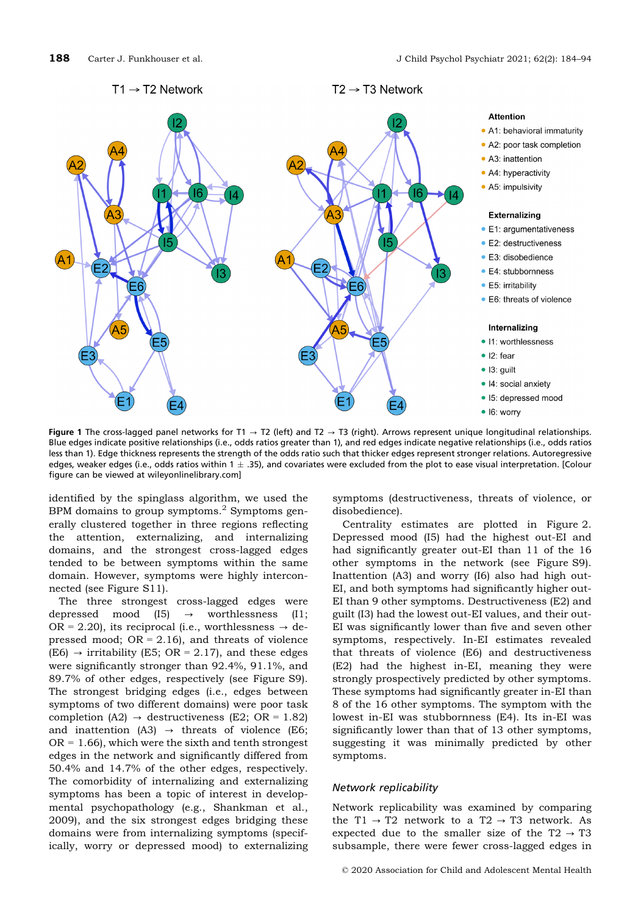# $T1 \rightarrow T2$  Network





Figure 1 The cross-lagged panel networks for T1  $\rightarrow$  T2 (left) and T2  $\rightarrow$  T3 (right). Arrows represent unique longitudinal relationships. Blue edges indicate positive relationships (i.e., odds ratios greater than 1), and red edges indicate negative relationships (i.e., odds ratios less than 1). Edge thickness represents the strength of the odds ratio such that thicker edges represent stronger relations. Autoregressive edges, weaker edges (i.e., odds ratios within 1  $\pm$  .35), and covariates were excluded from the plot to ease visual interpretation. [Colour figure can be viewed at [wileyonlinelibrary.com\]](www.wileyonlinelibrary.com)

identified by the spinglass algorithm, we used the BPM domains to group symptoms.<sup>2</sup> Symptoms generally clustered together in three regions reflecting the attention, externalizing, and internalizing domains, and the strongest cross-lagged edges tended to be between symptoms within the same domain. However, symptoms were highly interconnected (see Figure S11).

The three strongest cross-lagged edges were depressed mood  $(I5) \rightarrow$  worthlessness  $(I1;$ OR = 2.20), its reciprocal (i.e., worthlessness  $\rightarrow$  depressed mood;  $OR = 2.16$ , and threats of violence  $(E6)$   $\rightarrow$  irritability (E5; OR = 2.17), and these edges were significantly stronger than 92.4%, 91.1%, and 89.7% of other edges, respectively (see Figure S9). The strongest bridging edges (i.e., edges between symptoms of two different domains) were poor task completion (A2)  $\rightarrow$  destructiveness (E2; OR = 1.82) and inattention (A3)  $\rightarrow$  threats of violence (E6;  $OR = 1.66$ , which were the sixth and tenth strongest edges in the network and significantly differed from 50.4% and 14.7% of the other edges, respectively. The comorbidity of internalizing and externalizing symptoms has been a topic of interest in developmental psychopathology (e.g., Shankman et al., 2009), and the six strongest edges bridging these domains were from internalizing symptoms (specifically, worry or depressed mood) to externalizing

symptoms (destructiveness, threats of violence, or disobedience).

Centrality estimates are plotted in Figure 2. Depressed mood (I5) had the highest out-EI and had significantly greater out-EI than 11 of the 16 other symptoms in the network (see Figure S9). Inattention (A3) and worry (I6) also had high out-EI, and both symptoms had significantly higher out-EI than 9 other symptoms. Destructiveness (E2) and guilt (I3) had the lowest out-EI values, and their out-EI was significantly lower than five and seven other symptoms, respectively. In-EI estimates revealed that threats of violence (E6) and destructiveness (E2) had the highest in-EI, meaning they were strongly prospectively predicted by other symptoms. These symptoms had significantly greater in-EI than 8 of the 16 other symptoms. The symptom with the lowest in-EI was stubbornness (E4). Its in-EI was significantly lower than that of 13 other symptoms, suggesting it was minimally predicted by other symptoms.

# Network replicability

Network replicability was examined by comparing the T1  $\rightarrow$  T2 network to a T2  $\rightarrow$  T3 network. As expected due to the smaller size of the T2  $\rightarrow$  T3 subsample, there were fewer cross-lagged edges in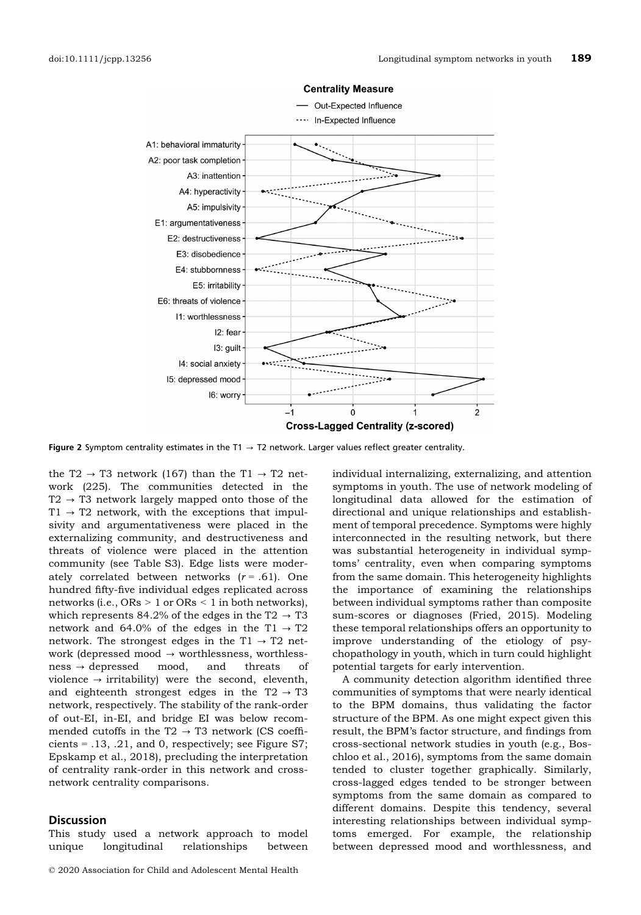

### **Centrality Measure**

Figure 2 Symptom centrality estimates in the T1  $\rightarrow$  T2 network. Larger values reflect greater centrality.

the T2  $\rightarrow$  T3 network (167) than the T1  $\rightarrow$  T2 network (225). The communities detected in the  $T2 \rightarrow T3$  network largely mapped onto those of the  $T1 \rightarrow T2$  network, with the exceptions that impulsivity and argumentativeness were placed in the externalizing community, and destructiveness and threats of violence were placed in the attention community (see Table S3). Edge lists were moderately correlated between networks  $(r = .61)$ . One hundred fifty-five individual edges replicated across networks (i.e., ORs > 1 or ORs < 1 in both networks), which represents 84.2% of the edges in the T2  $\rightarrow$  T3 network and 64.0% of the edges in the T1  $\rightarrow$  T2 network. The strongest edges in the T1  $\rightarrow$  T2 network (depressed mood  $\rightarrow$  worthlessness, worthless $ness \rightarrow depressed \mod$  mood, and threats of violence  $\rightarrow$  irritability) were the second, eleventh, and eighteenth strongest edges in the  $T2 \rightarrow T3$ network, respectively. The stability of the rank-order of out-EI, in-EI, and bridge EI was below recommended cutoffs in the T2  $\rightarrow$  T3 network (CS coefficients =  $.13, .21$ , and 0, respectively; see Figure S7; Epskamp et al., 2018), precluding the interpretation of centrality rank-order in this network and crossnetwork centrality comparisons.

# **Discussion**

This study used a network approach to model unique longitudinal relationships between

individual internalizing, externalizing, and attention symptoms in youth. The use of network modeling of longitudinal data allowed for the estimation of directional and unique relationships and establishment of temporal precedence. Symptoms were highly interconnected in the resulting network, but there was substantial heterogeneity in individual symptoms' centrality, even when comparing symptoms from the same domain. This heterogeneity highlights the importance of examining the relationships between individual symptoms rather than composite sum-scores or diagnoses (Fried, 2015). Modeling these temporal relationships offers an opportunity to improve understanding of the etiology of psychopathology in youth, which in turn could highlight potential targets for early intervention.

A community detection algorithm identified three communities of symptoms that were nearly identical to the BPM domains, thus validating the factor structure of the BPM. As one might expect given this result, the BPM's factor structure, and findings from cross-sectional network studies in youth (e.g., Boschloo et al., 2016), symptoms from the same domain tended to cluster together graphically. Similarly, cross-lagged edges tended to be stronger between symptoms from the same domain as compared to different domains. Despite this tendency, several interesting relationships between individual symptoms emerged. For example, the relationship between depressed mood and worthlessness, and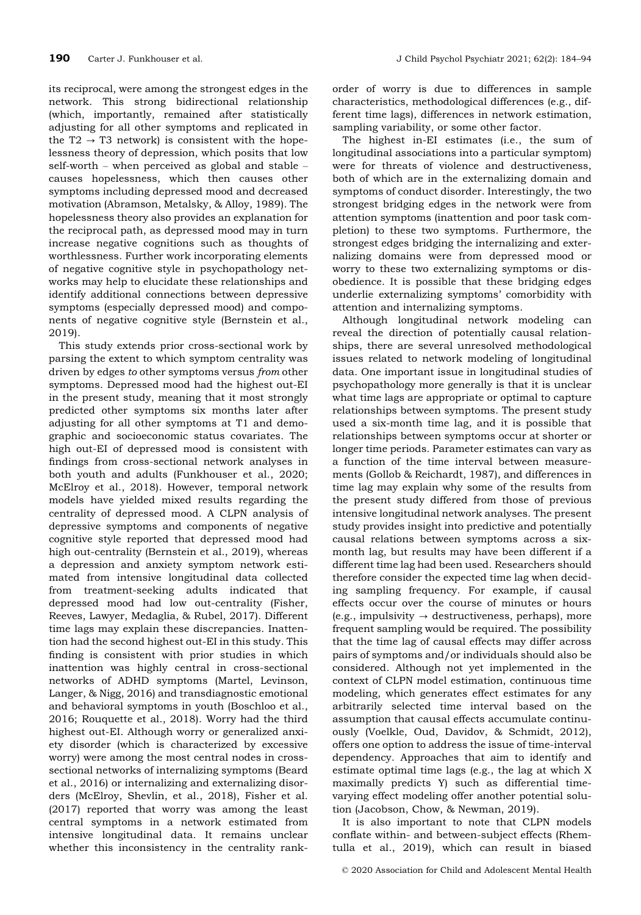its reciprocal, were among the strongest edges in the network. This strong bidirectional relationship (which, importantly, remained after statistically adjusting for all other symptoms and replicated in the  $T2 \rightarrow T3$  network) is consistent with the hopelessness theory of depression, which posits that low self-worth – when perceived as global and stable – causes hopelessness, which then causes other symptoms including depressed mood and decreased motivation (Abramson, Metalsky, & Alloy, 1989). The hopelessness theory also provides an explanation for the reciprocal path, as depressed mood may in turn increase negative cognitions such as thoughts of worthlessness. Further work incorporating elements of negative cognitive style in psychopathology networks may help to elucidate these relationships and identify additional connections between depressive symptoms (especially depressed mood) and components of negative cognitive style (Bernstein et al., 2019).

This study extends prior cross-sectional work by parsing the extent to which symptom centrality was driven by edges to other symptoms versus from other symptoms. Depressed mood had the highest out-EI in the present study, meaning that it most strongly predicted other symptoms six months later after adjusting for all other symptoms at T1 and demographic and socioeconomic status covariates. The high out-EI of depressed mood is consistent with findings from cross-sectional network analyses in both youth and adults (Funkhouser et al., 2020; McElroy et al., 2018). However, temporal network models have yielded mixed results regarding the centrality of depressed mood. A CLPN analysis of depressive symptoms and components of negative cognitive style reported that depressed mood had high out-centrality (Bernstein et al., 2019), whereas a depression and anxiety symptom network estimated from intensive longitudinal data collected from treatment-seeking adults indicated that depressed mood had low out-centrality (Fisher, Reeves, Lawyer, Medaglia, & Rubel, 2017). Different time lags may explain these discrepancies. Inattention had the second highest out-EI in this study. This finding is consistent with prior studies in which inattention was highly central in cross-sectional networks of ADHD symptoms (Martel, Levinson, Langer, & Nigg, 2016) and transdiagnostic emotional and behavioral symptoms in youth (Boschloo et al., 2016; Rouquette et al., 2018). Worry had the third highest out-EI. Although worry or generalized anxiety disorder (which is characterized by excessive worry) were among the most central nodes in crosssectional networks of internalizing symptoms (Beard et al., 2016) or internalizing and externalizing disorders (McElroy, Shevlin, et al., 2018), Fisher et al. (2017) reported that worry was among the least central symptoms in a network estimated from intensive longitudinal data. It remains unclear whether this inconsistency in the centrality rank-

order of worry is due to differences in sample characteristics, methodological differences (e.g., different time lags), differences in network estimation, sampling variability, or some other factor.

The highest in-EI estimates (i.e., the sum of longitudinal associations into a particular symptom) were for threats of violence and destructiveness, both of which are in the externalizing domain and symptoms of conduct disorder. Interestingly, the two strongest bridging edges in the network were from attention symptoms (inattention and poor task completion) to these two symptoms. Furthermore, the strongest edges bridging the internalizing and externalizing domains were from depressed mood or worry to these two externalizing symptoms or disobedience. It is possible that these bridging edges underlie externalizing symptoms' comorbidity with attention and internalizing symptoms.

Although longitudinal network modeling can reveal the direction of potentially causal relationships, there are several unresolved methodological issues related to network modeling of longitudinal data. One important issue in longitudinal studies of psychopathology more generally is that it is unclear what time lags are appropriate or optimal to capture relationships between symptoms. The present study used a six-month time lag, and it is possible that relationships between symptoms occur at shorter or longer time periods. Parameter estimates can vary as a function of the time interval between measurements (Gollob & Reichardt, 1987), and differences in time lag may explain why some of the results from the present study differed from those of previous intensive longitudinal network analyses. The present study provides insight into predictive and potentially causal relations between symptoms across a sixmonth lag, but results may have been different if a different time lag had been used. Researchers should therefore consider the expected time lag when deciding sampling frequency. For example, if causal effects occur over the course of minutes or hours (e.g., impulsivity  $\rightarrow$  destructiveness, perhaps), more frequent sampling would be required. The possibility that the time lag of causal effects may differ across pairs of symptoms and/or individuals should also be considered. Although not yet implemented in the context of CLPN model estimation, continuous time modeling, which generates effect estimates for any arbitrarily selected time interval based on the assumption that causal effects accumulate continuously (Voelkle, Oud, Davidov, & Schmidt, 2012), offers one option to address the issue of time-interval dependency. Approaches that aim to identify and estimate optimal time lags (e.g., the lag at which X maximally predicts Y) such as differential timevarying effect modeling offer another potential solution (Jacobson, Chow, & Newman, 2019).

It is also important to note that CLPN models conflate within- and between-subject effects (Rhemtulla et al., 2019), which can result in biased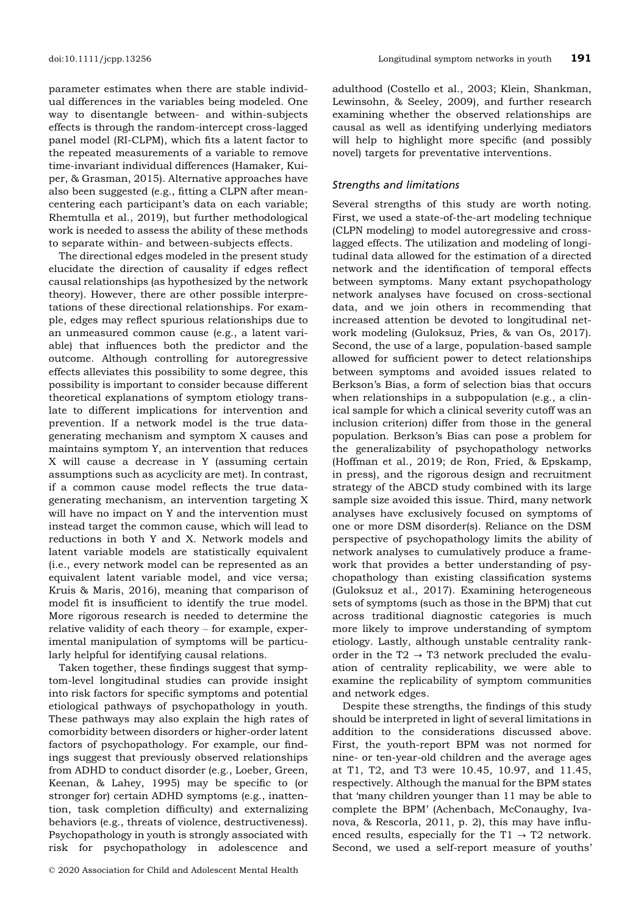parameter estimates when there are stable individual differences in the variables being modeled. One way to disentangle between- and within-subjects effects is through the random-intercept cross-lagged panel model (RI-CLPM), which fits a latent factor to the repeated measurements of a variable to remove time-invariant individual differences (Hamaker, Kuiper, & Grasman, 2015). Alternative approaches have also been suggested (e.g., fitting a CLPN after meancentering each participant's data on each variable; Rhemtulla et al., 2019), but further methodological work is needed to assess the ability of these methods to separate within- and between-subjects effects.

The directional edges modeled in the present study elucidate the direction of causality if edges reflect causal relationships (as hypothesized by the network theory). However, there are other possible interpretations of these directional relationships. For example, edges may reflect spurious relationships due to an unmeasured common cause (e.g., a latent variable) that influences both the predictor and the outcome. Although controlling for autoregressive effects alleviates this possibility to some degree, this possibility is important to consider because different theoretical explanations of symptom etiology translate to different implications for intervention and prevention. If a network model is the true datagenerating mechanism and symptom X causes and maintains symptom Y, an intervention that reduces X will cause a decrease in Y (assuming certain assumptions such as acyclicity are met). In contrast, if a common cause model reflects the true datagenerating mechanism, an intervention targeting X will have no impact on Y and the intervention must instead target the common cause, which will lead to reductions in both Y and X. Network models and latent variable models are statistically equivalent (i.e., every network model can be represented as an equivalent latent variable model, and vice versa; Kruis & Maris, 2016), meaning that comparison of model fit is insufficient to identify the true model. More rigorous research is needed to determine the relative validity of each theory – for example, experimental manipulation of symptoms will be particularly helpful for identifying causal relations.

Taken together, these findings suggest that symptom-level longitudinal studies can provide insight into risk factors for specific symptoms and potential etiological pathways of psychopathology in youth. These pathways may also explain the high rates of comorbidity between disorders or higher-order latent factors of psychopathology. For example, our findings suggest that previously observed relationships from ADHD to conduct disorder (e.g., Loeber, Green, Keenan, & Lahey, 1995) may be specific to (or stronger for) certain ADHD symptoms (e.g., inattention, task completion difficulty) and externalizing behaviors (e.g., threats of violence, destructiveness). Psychopathology in youth is strongly associated with risk for psychopathology in adolescence and

adulthood (Costello et al., 2003; Klein, Shankman, Lewinsohn, & Seeley, 2009), and further research examining whether the observed relationships are causal as well as identifying underlying mediators will help to highlight more specific (and possibly novel) targets for preventative interventions.

#### Strengths and limitations

Several strengths of this study are worth noting. First, we used a state-of-the-art modeling technique (CLPN modeling) to model autoregressive and crosslagged effects. The utilization and modeling of longitudinal data allowed for the estimation of a directed network and the identification of temporal effects between symptoms. Many extant psychopathology network analyses have focused on cross-sectional data, and we join others in recommending that increased attention be devoted to longitudinal network modeling (Guloksuz, Pries, & van Os, 2017). Second, the use of a large, population-based sample allowed for sufficient power to detect relationships between symptoms and avoided issues related to Berkson's Bias, a form of selection bias that occurs when relationships in a subpopulation (e.g., a clinical sample for which a clinical severity cutoff was an inclusion criterion) differ from those in the general population. Berkson's Bias can pose a problem for the generalizability of psychopathology networks (Hoffman et al., 2019; de Ron, Fried, & Epskamp, in press), and the rigorous design and recruitment strategy of the ABCD study combined with its large sample size avoided this issue. Third, many network analyses have exclusively focused on symptoms of one or more DSM disorder(s). Reliance on the DSM perspective of psychopathology limits the ability of network analyses to cumulatively produce a framework that provides a better understanding of psychopathology than existing classification systems (Guloksuz et al., 2017). Examining heterogeneous sets of symptoms (such as those in the BPM) that cut across traditional diagnostic categories is much more likely to improve understanding of symptom etiology. Lastly, although unstable centrality rankorder in the  $T2 \rightarrow T3$  network precluded the evaluation of centrality replicability, we were able to examine the replicability of symptom communities and network edges.

Despite these strengths, the findings of this study should be interpreted in light of several limitations in addition to the considerations discussed above. First, the youth-report BPM was not normed for nine- or ten-year-old children and the average ages at T1, T2, and T3 were 10.45, 10.97, and 11.45, respectively. Although the manual for the BPM states that 'many children younger than 11 may be able to complete the BPM' (Achenbach, McConaughy, Ivanova, & Rescorla, 2011, p. 2), this may have influenced results, especially for the  $T1 \rightarrow T2$  network. Second, we used a self-report measure of youths'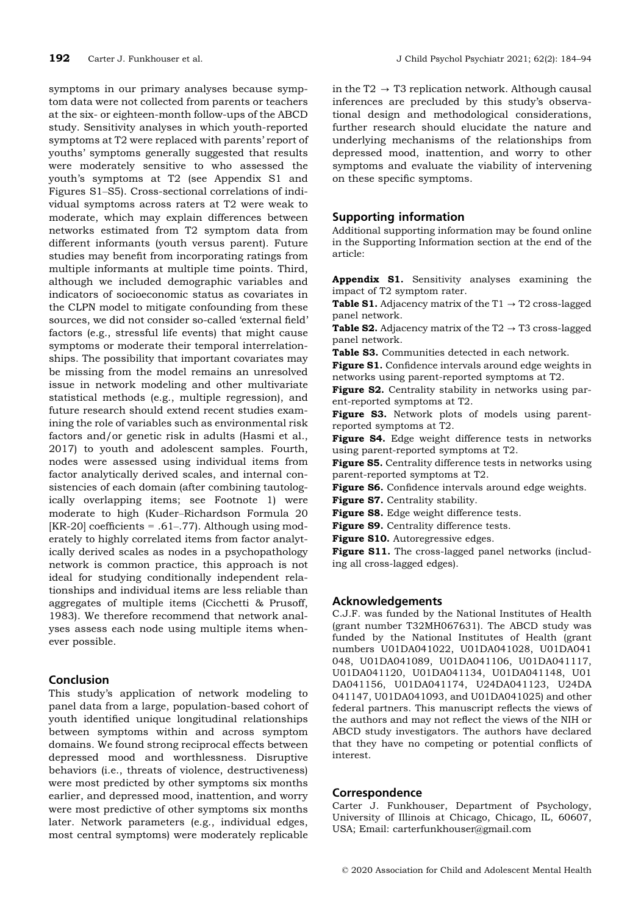symptoms in our primary analyses because symptom data were not collected from parents or teachers at the six- or eighteen-month follow-ups of the ABCD study. Sensitivity analyses in which youth-reported symptoms at T2 were replaced with parents' report of youths' symptoms generally suggested that results were moderately sensitive to who assessed the youth's symptoms at T2 (see Appendix S1 and Figures S1–S5). Cross-sectional correlations of individual symptoms across raters at T2 were weak to moderate, which may explain differences between networks estimated from T2 symptom data from different informants (youth versus parent). Future studies may benefit from incorporating ratings from multiple informants at multiple time points. Third, although we included demographic variables and indicators of socioeconomic status as covariates in the CLPN model to mitigate confounding from these sources, we did not consider so-called 'external field' factors (e.g., stressful life events) that might cause symptoms or moderate their temporal interrelationships. The possibility that important covariates may be missing from the model remains an unresolved issue in network modeling and other multivariate statistical methods (e.g., multiple regression), and future research should extend recent studies examining the role of variables such as environmental risk factors and/or genetic risk in adults (Hasmi et al., 2017) to youth and adolescent samples. Fourth, nodes were assessed using individual items from factor analytically derived scales, and internal consistencies of each domain (after combining tautologically overlapping items; see Footnote 1) were moderate to high (Kuder–Richardson Formula 20 [KR-20] coefficients =  $.61-.77$ ]. Although using moderately to highly correlated items from factor analytically derived scales as nodes in a psychopathology network is common practice, this approach is not ideal for studying conditionally independent relationships and individual items are less reliable than aggregates of multiple items (Cicchetti & Prusoff, 1983). We therefore recommend that network analyses assess each node using multiple items whenever possible.

### Conclusion

This study's application of network modeling to panel data from a large, population-based cohort of youth identified unique longitudinal relationships between symptoms within and across symptom domains. We found strong reciprocal effects between depressed mood and worthlessness. Disruptive behaviors (i.e., threats of violence, destructiveness) were most predicted by other symptoms six months earlier, and depressed mood, inattention, and worry were most predictive of other symptoms six months later. Network parameters (e.g., individual edges, most central symptoms) were moderately replicable

in the  $T2 \rightarrow T3$  replication network. Although causal inferences are precluded by this study's observational design and methodological considerations, further research should elucidate the nature and underlying mechanisms of the relationships from depressed mood, inattention, and worry to other symptoms and evaluate the viability of intervening on these specific symptoms.

# Supporting information

Additional supporting information may be found online in the Supporting Information section at the end of the article:

Appendix S1. Sensitivity analyses examining the impact of T2 symptom rater.

**Table S1.** Adjacency matrix of the  $T1 \rightarrow T2$  cross-lagged panel network.

**Table S2.** Adjacency matrix of the  $T2 \rightarrow T3$  cross-lagged panel network.

Table S3. Communities detected in each network.

Figure S1. Confidence intervals around edge weights in networks using parent-reported symptoms at T2.

Figure S2. Centrality stability in networks using parent-reported symptoms at T2.

Figure S3. Network plots of models using parentreported symptoms at T2.

Figure S4. Edge weight difference tests in networks using parent-reported symptoms at T2.

Figure S5. Centrality difference tests in networks using parent-reported symptoms at T2.

Figure S6. Confidence intervals around edge weights.

Figure S7. Centrality stability.

Figure S8. Edge weight difference tests.

Figure S9. Centrality difference tests.

Figure S10. Autoregressive edges.

Figure S11. The cross-lagged panel networks (including all cross-lagged edges).

# Acknowledgements

C.J.F. was funded by the National Institutes of Health (grant number T32MH067631). The ABCD study was funded by the National Institutes of Health (grant numbers U01DA041022, U01DA041028, U01DA041 048, U01DA041089, U01DA041106, U01DA041117, U01DA041120, U01DA041134, U01DA041148, U01 DA041156, U01DA041174, U24DA041123, U24DA 041147, U01DA041093, and U01DA041025) and other federal partners. This manuscript reflects the views of the authors and may not reflect the views of the NIH or ABCD study investigators. The authors have declared that they have no competing or potential conflicts of interest.

#### Correspondence

Carter J. Funkhouser, Department of Psychology, University of Illinois at Chicago, Chicago, IL, 60607, USA; Email: carterfunkhouser@gmail.com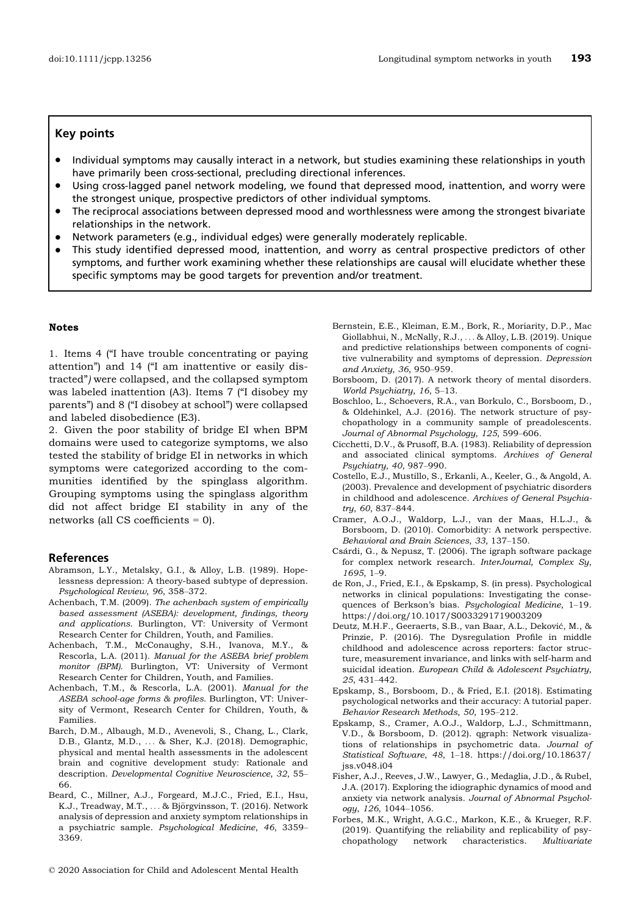# Key points

- Individual symptoms may causally interact in a network, but studies examining these relationships in youth have primarily been cross-sectional, precluding directional inferences.
- Using cross-lagged panel network modeling, we found that depressed mood, inattention, and worry were the strongest unique, prospective predictors of other individual symptoms.
- The reciprocal associations between depressed mood and worthlessness were among the strongest bivariate relationships in the network.
- Network parameters (e.g., individual edges) were generally moderately replicable.
- This study identified depressed mood, inattention, and worry as central prospective predictors of other symptoms, and further work examining whether these relationships are causal will elucidate whether these specific symptoms may be good targets for prevention and/or treatment.

#### Notes

1. Items 4 ("I have trouble concentrating or paying attention") and 14 ("I am inattentive or easily distracted") were collapsed, and the collapsed symptom was labeled inattention (A3). Items 7 ("I disobey my parents") and 8 ("I disobey at school") were collapsed and labeled disobedience (E3).

2. Given the poor stability of bridge EI when BPM domains were used to categorize symptoms, we also tested the stability of bridge EI in networks in which symptoms were categorized according to the communities identified by the spinglass algorithm. Grouping symptoms using the spinglass algorithm did not affect bridge EI stability in any of the networks (all CS coefficients = 0).

#### References

- Abramson, L.Y., Metalsky, G.I., & Alloy, L.B. (1989). Hopelessness depression: A theory-based subtype of depression. Psychological Review, 96, 358–372.
- Achenbach, T.M. (2009). The achenbach system of empirically based assessment (ASEBA): development, findings, theory and applications. Burlington, VT: University of Vermont Research Center for Children, Youth, and Families.
- Achenbach, T.M., McConaughy, S.H., Ivanova, M.Y., & Rescorla, L.A. (2011). Manual for the ASEBA brief problem monitor (BPM). Burlington, VT: University of Vermont Research Center for Children, Youth, and Families.
- Achenbach, T.M., & Rescorla, L.A. (2001). Manual for the ASEBA school-age forms & profiles. Burlington, VT: University of Vermont, Research Center for Children, Youth, & Families.
- Barch, D.M., Albaugh, M.D., Avenevoli, S., Chang, L., Clark, D.B., Glantz, M.D., ... & Sher, K.J. (2018). Demographic, physical and mental health assessments in the adolescent brain and cognitive development study: Rationale and description. Developmental Cognitive Neuroscience, 32, 55– 66.
- Beard, C., Millner, A.J., Forgeard, M.J.C., Fried, E.I., Hsu, K.J., Treadway, M.T., ... & Björgvinsson, T. (2016). Network analysis of depression and anxiety symptom relationships in a psychiatric sample. Psychological Medicine, 46, 3359– 3369.
- Bernstein, E.E., Kleiman, E.M., Bork, R., Moriarity, D.P., Mac Giollabhui, N., McNally, R.J., ... & Alloy, L.B. (2019). Unique and predictive relationships between components of cognitive vulnerability and symptoms of depression. Depression and Anxiety, 36, 950–959.
- Borsboom, D. (2017). A network theory of mental disorders. World Psychiatry, 16, 5–13.
- Boschloo, L., Schoevers, R.A., van Borkulo, C., Borsboom, D., & Oldehinkel, A.J. (2016). The network structure of psychopathology in a community sample of preadolescents. Journal of Abnormal Psychology, 125, 599–606.
- Cicchetti, D.V., & Prusoff, B.A. (1983). Reliability of depression and associated clinical symptoms. Archives of General Psychiatry, 40, 987–990.
- Costello, E.J., Mustillo, S., Erkanli, A., Keeler, G., & Angold, A. (2003). Prevalence and development of psychiatric disorders in childhood and adolescence. Archives of General Psychiatry, 60, 837–844.
- Cramer, A.O.J., Waldorp, L.J., van der Maas, H.L.J., & Borsboom, D. (2010). Comorbidity: A network perspective. Behavioral and Brain Sciences, 33, 137–150.
- Csárdi, G., & Nepusz, T. (2006). The igraph software package for complex network research. InterJournal, Complex Sy, 1695, 1–9.
- de Ron, J., Fried, E.I., & Epskamp, S. (in press). Psychological networks in clinical populations: Investigating the consequences of Berkson's bias. Psychological Medicine, 1–19. <https://doi.org/10.1017/S0033291719003209>
- Deutz, M.H.F., Geeraerts, S.B., van Baar, A.L., Dekovic, M., & Prinzie, P. (2016). The Dysregulation Profile in middle childhood and adolescence across reporters: factor structure, measurement invariance, and links with self-harm and suicidal ideation. European Child & Adolescent Psychiatry, 25, 431–442.
- Epskamp, S., Borsboom, D., & Fried, E.I. (2018). Estimating psychological networks and their accuracy: A tutorial paper. Behavior Research Methods, 50, 195–212.
- Epskamp, S., Cramer, A.O.J., Waldorp, L.J., Schmittmann, V.D., & Borsboom, D. (2012). qgraph: Network visualizations of relationships in psychometric data. Journal of Statistical Software, 48, 1–18. [https://doi.org/10.18637/](https://doi.org/10.18637/jss.v048.i04) [jss.v048.i04](https://doi.org/10.18637/jss.v048.i04)
- Fisher, A.J., Reeves, J.W., Lawyer, G., Medaglia, J.D., & Rubel, J.A. (2017). Exploring the idiographic dynamics of mood and anxiety via network analysis. Journal of Abnormal Psychology, 126, 1044–1056.
- Forbes, M.K., Wright, A.G.C., Markon, K.E., & Krueger, R.F. (2019). Quantifying the reliability and replicability of psychopathology network characteristics. Multivariate